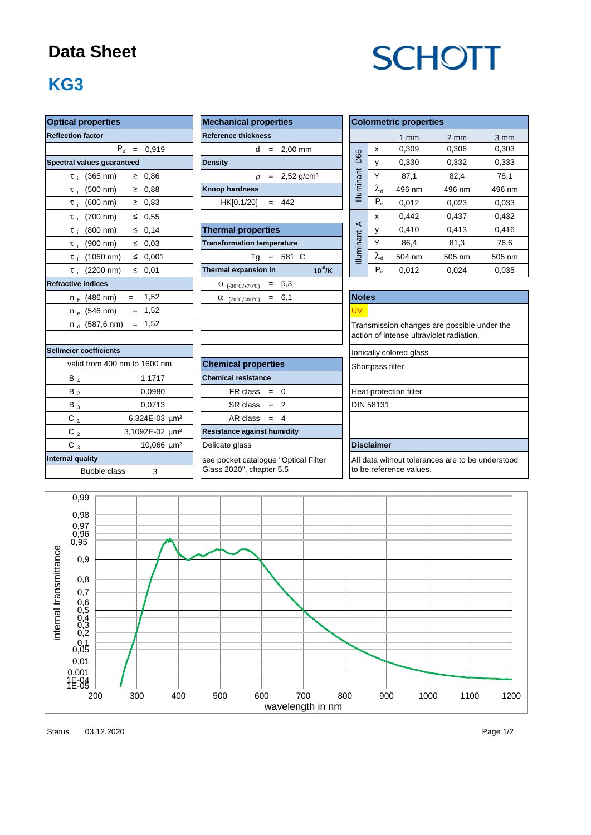### **Data Sheet**

# **SCHOTT**

## **KG3**

| <b>Optical properties</b>                             | <b>Mechanical properties</b>         | <b>Colormetric properties</b>                                                           |                   |                |                  |                  |  |  |
|-------------------------------------------------------|--------------------------------------|-----------------------------------------------------------------------------------------|-------------------|----------------|------------------|------------------|--|--|
| <b>Reflection factor</b>                              | <b>Reference thickness</b>           |                                                                                         |                   | $1 \text{ mm}$ | $2 \, \text{mm}$ | $3 \, \text{mm}$ |  |  |
| $P_d = 0,919$                                         | $d = 2,00$ mm                        |                                                                                         | X                 | 0,309          | 0,306            | 0,303            |  |  |
| Spectral values quaranteed                            | <b>Density</b>                       | D65                                                                                     | y                 | 0,330          | 0,332            | 0,333            |  |  |
| $\geq 0.86$<br>$(365 \, \text{nm})$<br>$\tau_{\rm i}$ | $\rho = 2,52 \text{ g/cm}^3$         | Illuminant                                                                              | Y                 | 87,1           | 82,4             | 78,1             |  |  |
| $(500 \, \text{nm})$<br>$\geq 0.88$<br>$\tau$ i       | <b>Knoop hardness</b>                |                                                                                         | $\lambda_{\rm d}$ | 496 nm         | 496 nm           | 496 nm           |  |  |
| (600 nm)<br>$\geq 0.83$<br>$\tau$ i                   | $= 442$<br>HK[0.1/20]                |                                                                                         | $P_e$             | 0,012          | 0,023            | 0,033            |  |  |
| $\leq 0.55$<br>$(700 \, \text{nm})$<br>$\tau$ i       |                                      |                                                                                         | X                 | 0,442          | 0,437            | 0,432            |  |  |
| (800 nm)<br>$\leq 0,14$<br>$\tau$ :                   | <b>Thermal properties</b>            | ⋖                                                                                       | У                 | 0,410          | 0,413            | 0,416            |  |  |
| $(900 \, \text{nm})$<br>$\leq 0.03$<br>$\tau$ .       | <b>Transformation temperature</b>    | <b>Illuminant</b>                                                                       | Y                 | 86,4           | 81,3             | 76,6             |  |  |
| $\leq 0.001$<br>$(1060 \text{ nm})$<br>$\tau$ :       | $Tg = 581 °C$                        |                                                                                         | $\lambda_{\rm d}$ | 504 nm         | 505 nm           | 505 nm           |  |  |
| $\leq 0.01$<br>$\tau_i$ (2200 nm)                     | Thermal expansion in<br>$10^6$ /K    |                                                                                         | $P_e$             | 0,012          | 0,024            | 0,035            |  |  |
| <b>Refractive indices</b>                             | $= 5,3$<br>$\alpha$ (-30°C/+70°C)    |                                                                                         |                   |                |                  |                  |  |  |
| 1,52<br>$n_F$ (486 nm)<br>$=$                         | $= 6,1$<br>$\alpha$ (20°C/300°C)     | <b>Notes</b>                                                                            |                   |                |                  |                  |  |  |
| $n_e$ (546 nm)<br>$= 1,52$                            |                                      | UV.                                                                                     |                   |                |                  |                  |  |  |
| $= 1,52$<br>n $_{\rm d}$ (587,6 nm)                   |                                      | Transmission changes are possible under the<br>action of intense ultraviolet radiation. |                   |                |                  |                  |  |  |
|                                                       |                                      |                                                                                         |                   |                |                  |                  |  |  |
| <b>Sellmeier coefficients</b>                         |                                      | lonically colored glass                                                                 |                   |                |                  |                  |  |  |
| valid from 400 nm to 1600 nm                          | <b>Chemical properties</b>           | Shortpass filter                                                                        |                   |                |                  |                  |  |  |
| $B_1$<br>1,1717                                       | <b>Chemical resistance</b>           |                                                                                         |                   |                |                  |                  |  |  |
| $B_2$<br>0,0980                                       | $FR \text{ class } = 0$              | Heat protection filter                                                                  |                   |                |                  |                  |  |  |
| $B_3$<br>0,0713                                       | $SR class = 2$                       | <b>DIN 58131</b>                                                                        |                   |                |                  |                  |  |  |
| $C_{1}$<br>6,324E-03 um <sup>2</sup>                  | AR class $= 4$                       |                                                                                         |                   |                |                  |                  |  |  |
| C $_{2}$<br>3,1092E-02 um <sup>2</sup>                | Resistance against humidity          |                                                                                         |                   |                |                  |                  |  |  |
| $C_3$<br>10,066 µm <sup>2</sup>                       | Delicate glass                       | <b>Disclaimer</b>                                                                       |                   |                |                  |                  |  |  |
| <b>Internal quality</b>                               | see pocket catalogue "Optical Filter | All data without tolerances are to be understood                                        |                   |                |                  |                  |  |  |
| 3<br><b>Bubble class</b>                              | Glass 2020", chapter 5.5             | to be reference values.                                                                 |                   |                |                  |                  |  |  |



Status 03.12.2020 2012 2020 2020 2021 2022 2020 2021 2022 2022 2022 2022 2022 2022 2020 2021 2022 2020 2021 20 03.12.2020